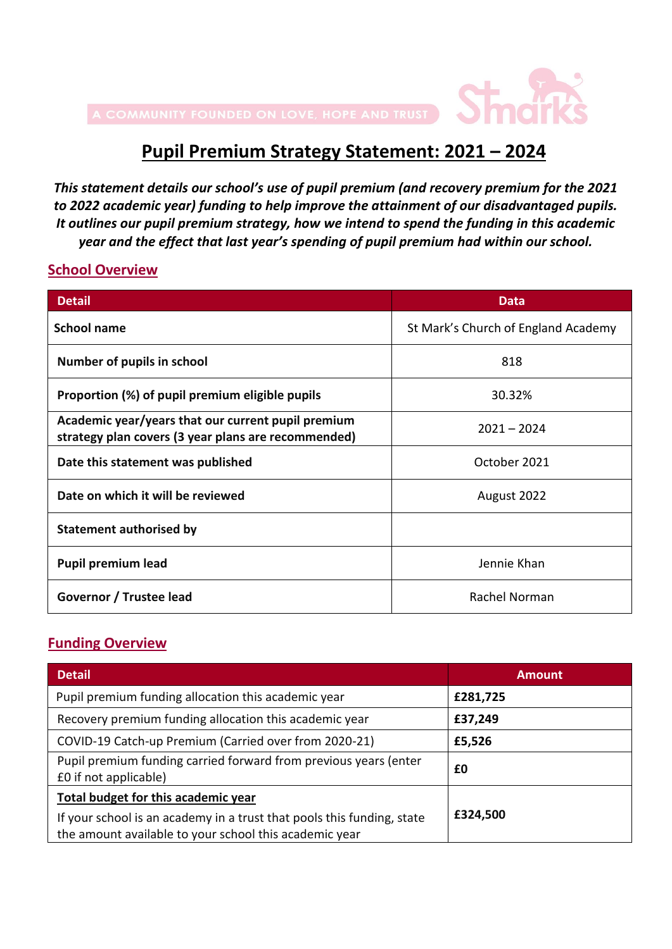

# **Pupil Premium Strategy Statement: 2021 – 2024**

*This statement details our school's use of pupil premium (and recovery premium for the 2021 to 2022 academic year) funding to help improve the attainment of our disadvantaged pupils. It outlines our pupil premium strategy, how we intend to spend the funding in this academic year and the effect that last year's spending of pupil premium had within our school.*

#### **School Overview**

| <b>Detail</b>                                                                                             | <b>Data</b>                         |
|-----------------------------------------------------------------------------------------------------------|-------------------------------------|
| <b>School name</b>                                                                                        | St Mark's Church of England Academy |
| Number of pupils in school                                                                                | 818                                 |
| Proportion (%) of pupil premium eligible pupils                                                           | 30.32%                              |
| Academic year/years that our current pupil premium<br>strategy plan covers (3 year plans are recommended) | $2021 - 2024$                       |
| Date this statement was published                                                                         | October 2021                        |
| Date on which it will be reviewed                                                                         | August 2022                         |
| Statement authorised by                                                                                   |                                     |
| <b>Pupil premium lead</b>                                                                                 | Jennie Khan                         |
| Governor / Trustee lead                                                                                   | Rachel Norman                       |

#### **Funding Overview**

| <b>Detail</b>                                                                                                                    | <b>Amount</b> |
|----------------------------------------------------------------------------------------------------------------------------------|---------------|
| Pupil premium funding allocation this academic year                                                                              | £281,725      |
| Recovery premium funding allocation this academic year                                                                           | £37,249       |
| COVID-19 Catch-up Premium (Carried over from 2020-21)                                                                            | £5,526        |
| Pupil premium funding carried forward from previous years (enter<br>£0 if not applicable)                                        | £0            |
| Total budget for this academic year                                                                                              |               |
| If your school is an academy in a trust that pools this funding, state<br>the amount available to your school this academic year | £324,500      |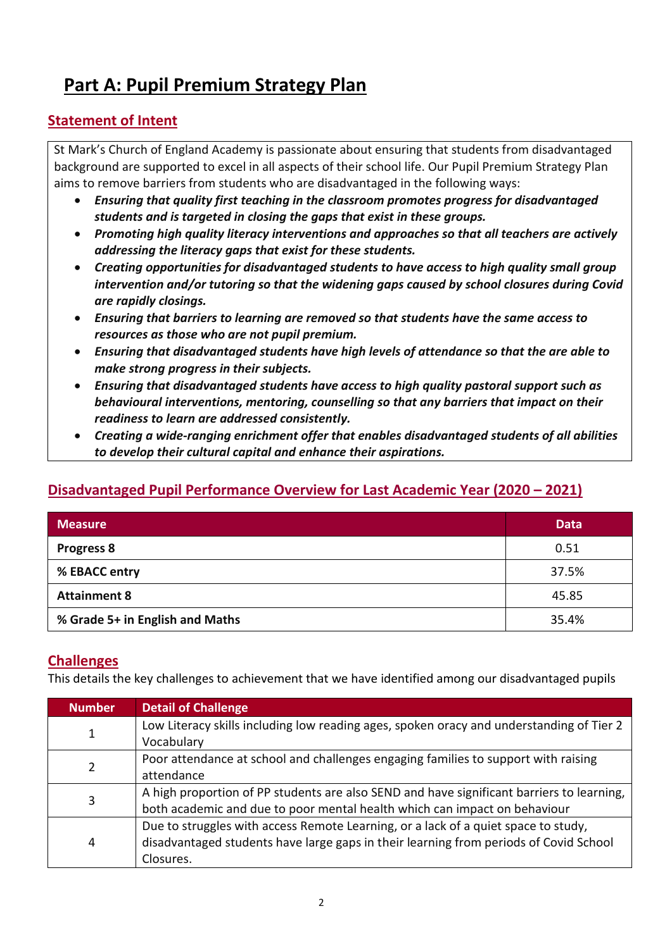# **Part A: Pupil Premium Strategy Plan**

### **Statement of Intent**

St Mark's Church of England Academy is passionate about ensuring that students from disadvantaged background are supported to excel in all aspects of their school life. Our Pupil Premium Strategy Plan aims to remove barriers from students who are disadvantaged in the following ways:

- *Ensuring that quality first teaching in the classroom promotes progress for disadvantaged students and is targeted in closing the gaps that exist in these groups.*
- *Promoting high quality literacy interventions and approaches so that all teachers are actively addressing the literacy gaps that exist for these students.*
- *Creating opportunities for disadvantaged students to have access to high quality small group intervention and/or tutoring so that the widening gaps caused by school closures during Covid are rapidly closings.*
- *Ensuring that barriers to learning are removed so that students have the same access to resources as those who are not pupil premium.*
- *Ensuring that disadvantaged students have high levels of attendance so that the are able to make strong progress in their subjects.*
- *Ensuring that disadvantaged students have access to high quality pastoral support such as behavioural interventions, mentoring, counselling so that any barriers that impact on their readiness to learn are addressed consistently.*
- *Creating a wide-ranging enrichment offer that enables disadvantaged students of all abilities to develop their cultural capital and enhance their aspirations.*

## **Disadvantaged Pupil Performance Overview for Last Academic Year (2020 – 2021)**

| <b>Measure</b>                  | <b>Data</b> |
|---------------------------------|-------------|
| <b>Progress 8</b>               | 0.51        |
| % EBACC entry                   | 37.5%       |
| <b>Attainment 8</b>             | 45.85       |
| % Grade 5+ in English and Maths | 35.4%       |

#### **Challenges**

This details the key challenges to achievement that we have identified among our disadvantaged pupils

| <b>Number</b> | <b>Detail of Challenge</b>                                                                                                                                                               |
|---------------|------------------------------------------------------------------------------------------------------------------------------------------------------------------------------------------|
| 1             | Low Literacy skills including low reading ages, spoken oracy and understanding of Tier 2<br>Vocabulary                                                                                   |
| 2             | Poor attendance at school and challenges engaging families to support with raising<br>attendance                                                                                         |
| 3             | A high proportion of PP students are also SEND and have significant barriers to learning,<br>both academic and due to poor mental health which can impact on behaviour                   |
| 4             | Due to struggles with access Remote Learning, or a lack of a quiet space to study,<br>disadvantaged students have large gaps in their learning from periods of Covid School<br>Closures. |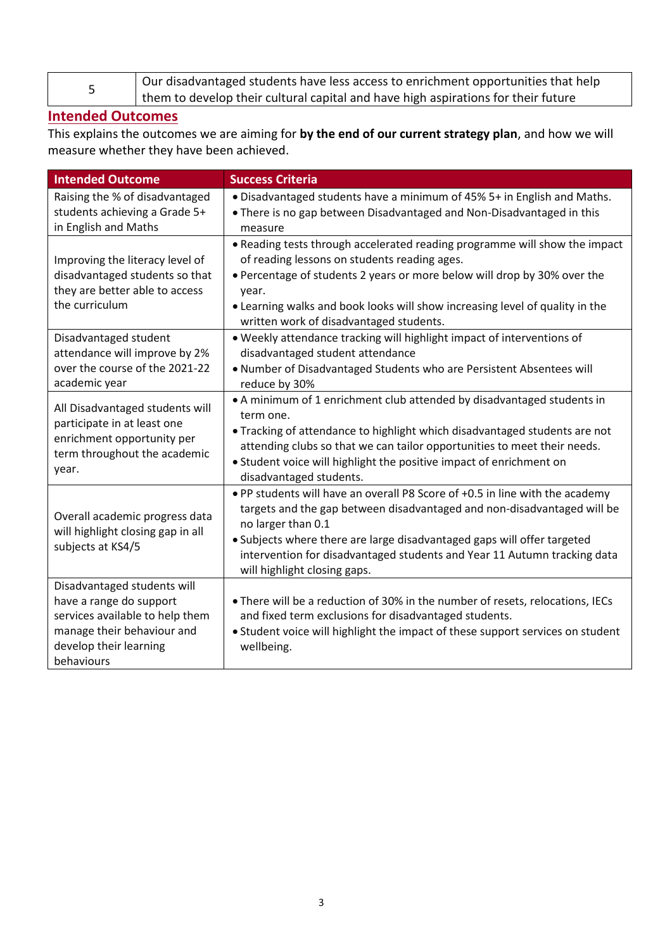| Our disadvantaged students have less access to enrichment opportunities that help |
|-----------------------------------------------------------------------------------|
| them to develop their cultural capital and have high aspirations for their future |

#### **Intended Outcomes**

This explains the outcomes we are aiming for **by the end of our current strategy plan**, and how we will measure whether they have been achieved.

| <b>Intended Outcome</b>                                                                                                                                         | <b>Success Criteria</b>                                                                                                                                                                                                                                                                                                                                              |
|-----------------------------------------------------------------------------------------------------------------------------------------------------------------|----------------------------------------------------------------------------------------------------------------------------------------------------------------------------------------------------------------------------------------------------------------------------------------------------------------------------------------------------------------------|
| Raising the % of disadvantaged                                                                                                                                  | . Disadvantaged students have a minimum of 45% 5+ in English and Maths.                                                                                                                                                                                                                                                                                              |
| students achieving a Grade 5+                                                                                                                                   | . There is no gap between Disadvantaged and Non-Disadvantaged in this                                                                                                                                                                                                                                                                                                |
| in English and Maths                                                                                                                                            | measure                                                                                                                                                                                                                                                                                                                                                              |
| Improving the literacy level of<br>disadvantaged students so that<br>they are better able to access<br>the curriculum                                           | • Reading tests through accelerated reading programme will show the impact<br>of reading lessons on students reading ages.<br>. Percentage of students 2 years or more below will drop by 30% over the<br>year.<br>. Learning walks and book looks will show increasing level of quality in the<br>written work of disadvantaged students.                           |
| Disadvantaged student<br>attendance will improve by 2%<br>over the course of the 2021-22<br>academic year                                                       | . Weekly attendance tracking will highlight impact of interventions of<br>disadvantaged student attendance<br>. Number of Disadvantaged Students who are Persistent Absentees will<br>reduce by 30%                                                                                                                                                                  |
| All Disadvantaged students will<br>participate in at least one<br>enrichment opportunity per<br>term throughout the academic<br>year.                           | • A minimum of 1 enrichment club attended by disadvantaged students in<br>term one.<br>. Tracking of attendance to highlight which disadvantaged students are not<br>attending clubs so that we can tailor opportunities to meet their needs.<br>• Student voice will highlight the positive impact of enrichment on<br>disadvantaged students.                      |
| Overall academic progress data<br>will highlight closing gap in all<br>subjects at KS4/5                                                                        | . PP students will have an overall P8 Score of +0.5 in line with the academy<br>targets and the gap between disadvantaged and non-disadvantaged will be<br>no larger than 0.1<br>• Subjects where there are large disadvantaged gaps will offer targeted<br>intervention for disadvantaged students and Year 11 Autumn tracking data<br>will highlight closing gaps. |
| Disadvantaged students will<br>have a range do support<br>services available to help them<br>manage their behaviour and<br>develop their learning<br>behaviours | . There will be a reduction of 30% in the number of resets, relocations, IECs<br>and fixed term exclusions for disadvantaged students.<br>• Student voice will highlight the impact of these support services on student<br>wellbeing.                                                                                                                               |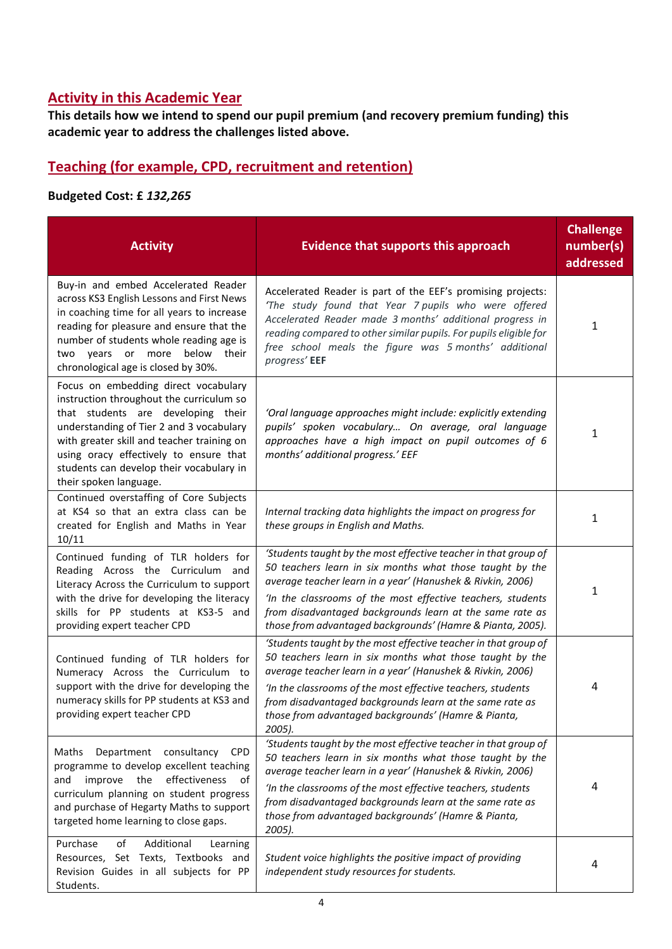### **Activity in this Academic Year**

**This details how we intend to spend our pupil premium (and recovery premium funding) this academic year to address the challenges listed above.**

### **Teaching (for example, CPD, recruitment and retention)**

#### **Budgeted Cost: £** *132,265*

| <b>Activity</b>                                                                                                                                                                                                                                                                                                                  | <b>Evidence that supports this approach</b>                                                                                                                                                                                                                                                                                                                                              | <b>Challenge</b><br>number(s)<br>addressed |
|----------------------------------------------------------------------------------------------------------------------------------------------------------------------------------------------------------------------------------------------------------------------------------------------------------------------------------|------------------------------------------------------------------------------------------------------------------------------------------------------------------------------------------------------------------------------------------------------------------------------------------------------------------------------------------------------------------------------------------|--------------------------------------------|
| Buy-in and embed Accelerated Reader<br>across KS3 English Lessons and First News<br>in coaching time for all years to increase<br>reading for pleasure and ensure that the<br>number of students whole reading age is<br>two years or more<br>below<br>their<br>chronological age is closed by 30%.                              | Accelerated Reader is part of the EEF's promising projects:<br>'The study found that Year 7 pupils who were offered<br>Accelerated Reader made 3 months' additional progress in<br>reading compared to other similar pupils. For pupils eligible for<br>free school meals the figure was 5 months' additional<br>progress' EEF                                                           | 1                                          |
| Focus on embedding direct vocabulary<br>instruction throughout the curriculum so<br>that students are developing their<br>understanding of Tier 2 and 3 vocabulary<br>with greater skill and teacher training on<br>using oracy effectively to ensure that<br>students can develop their vocabulary in<br>their spoken language. | 'Oral language approaches might include: explicitly extending<br>pupils' spoken vocabulary On average, oral language<br>approaches have a high impact on pupil outcomes of 6<br>months' additional progress.' EEF                                                                                                                                                                        | 1                                          |
| Continued overstaffing of Core Subjects<br>at KS4 so that an extra class can be<br>created for English and Maths in Year<br>10/11                                                                                                                                                                                                | Internal tracking data highlights the impact on progress for<br>these groups in English and Maths.                                                                                                                                                                                                                                                                                       | 1                                          |
| Continued funding of TLR holders for<br>Reading Across the Curriculum and<br>Literacy Across the Curriculum to support<br>with the drive for developing the literacy<br>skills for PP students at KS3-5 and<br>providing expert teacher CPD                                                                                      | 'Students taught by the most effective teacher in that group of<br>50 teachers learn in six months what those taught by the<br>average teacher learn in a year' (Hanushek & Rivkin, 2006)<br>'In the classrooms of the most effective teachers, students<br>from disadvantaged backgrounds learn at the same rate as<br>those from advantaged backgrounds' (Hamre & Pianta, 2005).       | 1                                          |
| Continued funding of TLR holders for<br>Numeracy Across the Curriculum to<br>support with the drive for developing the<br>numeracy skills for PP students at KS3 and<br>providing expert teacher CPD                                                                                                                             | 'Students taught by the most effective teacher in that group of<br>50 teachers learn in six months what those taught by the<br>average teacher learn in a year' (Hanushek & Rivkin, 2006)<br>'In the classrooms of the most effective teachers, students<br>from disadvantaged backgrounds learn at the same rate as<br>those from advantaged backgrounds' (Hamre & Pianta,<br>2005).    | 4                                          |
| Department consultancy<br>Maths<br><b>CPD</b><br>programme to develop excellent teaching<br>the<br>effectiveness<br>improve<br>of<br>and<br>curriculum planning on student progress<br>and purchase of Hegarty Maths to support<br>targeted home learning to close gaps.                                                         | 'Students taught by the most effective teacher in that group of<br>50 teachers learn in six months what those taught by the<br>average teacher learn in a year' (Hanushek & Rivkin, 2006)<br>'In the classrooms of the most effective teachers, students<br>from disadvantaged backgrounds learn at the same rate as<br>those from advantaged backgrounds' (Hamre & Pianta,<br>$2005$ ). | 4                                          |
| Additional<br>Purchase<br>of<br>Learning<br>Resources, Set Texts, Textbooks and<br>Revision Guides in all subjects for PP<br>Students.                                                                                                                                                                                           | Student voice highlights the positive impact of providing<br>independent study resources for students.                                                                                                                                                                                                                                                                                   | 4                                          |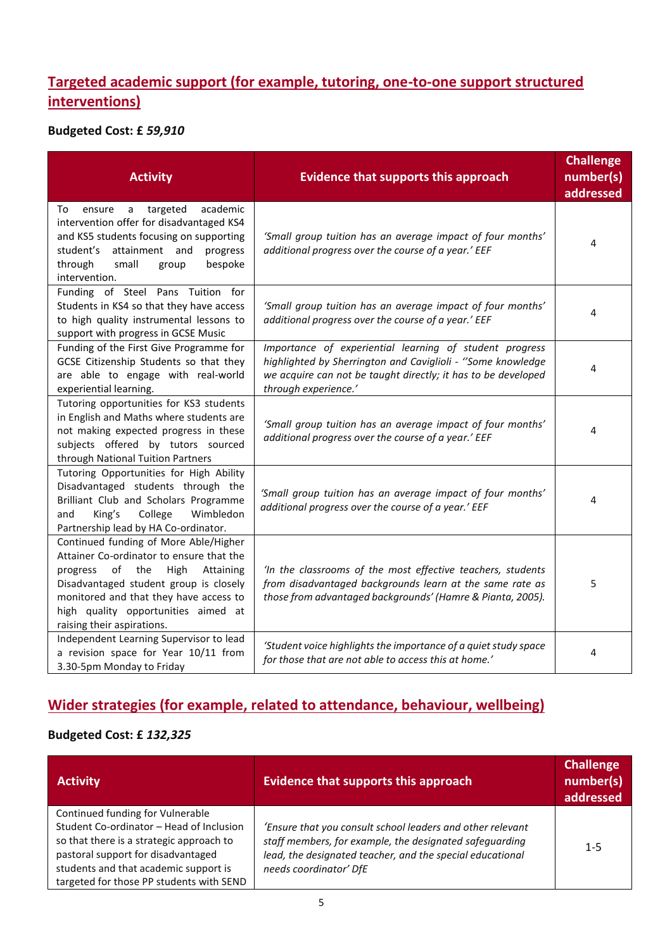## **Targeted academic support (for example, tutoring, one-to-one support structured interventions)**

#### **Budgeted Cost: £** *59,910*

| <b>Activity</b>                                                                                                                                                                                                                                                                       | <b>Evidence that supports this approach</b>                                                                                                                                                                     | <b>Challenge</b><br>number(s)<br>addressed |
|---------------------------------------------------------------------------------------------------------------------------------------------------------------------------------------------------------------------------------------------------------------------------------------|-----------------------------------------------------------------------------------------------------------------------------------------------------------------------------------------------------------------|--------------------------------------------|
| academic<br>To<br>targeted<br>ensure<br>a<br>intervention offer for disadvantaged KS4<br>and KS5 students focusing on supporting<br>attainment and<br>student's<br>progress<br>through<br>small<br>bespoke<br>group<br>intervention.                                                  | 'Small group tuition has an average impact of four months'<br>additional progress over the course of a year.' EEF                                                                                               | 4                                          |
| Funding of Steel Pans Tuition for<br>Students in KS4 so that they have access<br>to high quality instrumental lessons to<br>support with progress in GCSE Music                                                                                                                       | 'Small group tuition has an average impact of four months'<br>additional progress over the course of a year.' EEF                                                                                               | 4                                          |
| Funding of the First Give Programme for<br>GCSE Citizenship Students so that they<br>are able to engage with real-world<br>experiential learning.                                                                                                                                     | Importance of experiential learning of student progress<br>highlighted by Sherrington and Caviglioli - "Some knowledge<br>we acquire can not be taught directly; it has to be developed<br>through experience.' | 4                                          |
| Tutoring opportunities for KS3 students<br>in English and Maths where students are<br>not making expected progress in these<br>subjects offered by tutors sourced<br>through National Tuition Partners                                                                                | 'Small group tuition has an average impact of four months'<br>additional progress over the course of a year.' EEF                                                                                               | 4                                          |
| Tutoring Opportunities for High Ability<br>Disadvantaged students through the<br>Brilliant Club and Scholars Programme<br>King's<br>College<br>Wimbledon<br>and<br>Partnership lead by HA Co-ordinator.                                                                               | 'Small group tuition has an average impact of four months'<br>additional progress over the course of a year.' EEF                                                                                               | 4                                          |
| Continued funding of More Able/Higher<br>Attainer Co-ordinator to ensure that the<br>High<br>progress<br>of the<br>Attaining<br>Disadvantaged student group is closely<br>monitored and that they have access to<br>high quality opportunities aimed at<br>raising their aspirations. | 'In the classrooms of the most effective teachers, students<br>from disadvantaged backgrounds learn at the same rate as<br>those from advantaged backgrounds' (Hamre & Pianta, 2005).                           | 5                                          |
| Independent Learning Supervisor to lead<br>a revision space for Year 10/11 from<br>3.30-5pm Monday to Friday                                                                                                                                                                          | 'Student voice highlights the importance of a quiet study space<br>for those that are not able to access this at home.'                                                                                         | 4                                          |

# **Wider strategies (for example, related to attendance, behaviour, wellbeing)**

#### **Budgeted Cost: £** *132,325*

| <b>Activity</b>                                                                                                                                                                                                                                     | <b>Evidence that supports this approach</b>                                                                                                                                                                  | <b>Challenge</b><br>number(s)<br>addressed |
|-----------------------------------------------------------------------------------------------------------------------------------------------------------------------------------------------------------------------------------------------------|--------------------------------------------------------------------------------------------------------------------------------------------------------------------------------------------------------------|--------------------------------------------|
| Continued funding for Vulnerable<br>Student Co-ordinator - Head of Inclusion<br>so that there is a strategic approach to<br>pastoral support for disadvantaged<br>students and that academic support is<br>targeted for those PP students with SEND | 'Ensure that you consult school leaders and other relevant<br>staff members, for example, the designated safeguarding<br>lead, the designated teacher, and the special educational<br>needs coordinator' DfE | $1 - 5$                                    |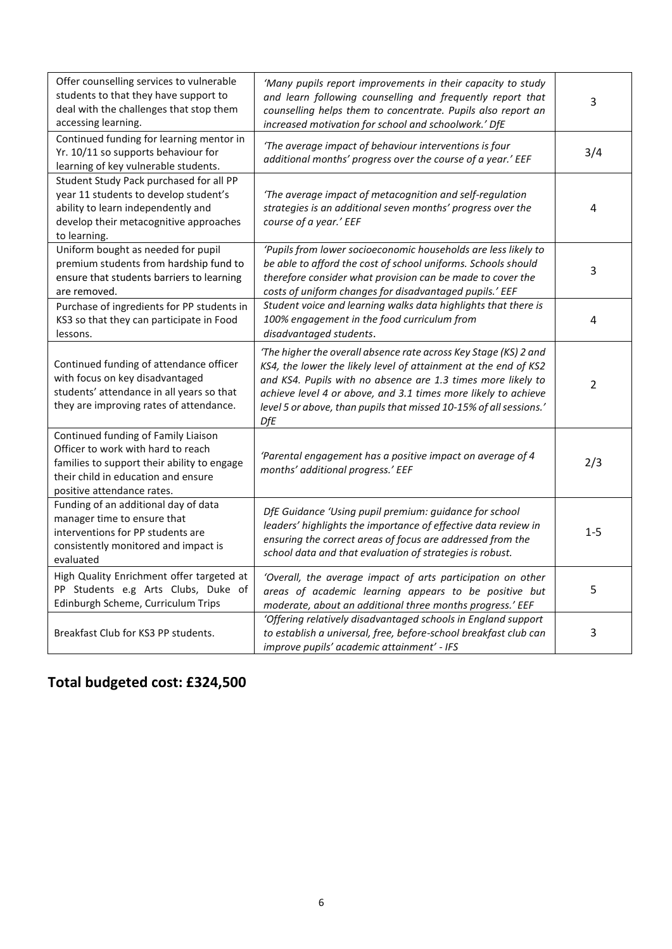| Offer counselling services to vulnerable<br>students to that they have support to<br>deal with the challenges that stop them<br>accessing learning.                                           | 'Many pupils report improvements in their capacity to study<br>and learn following counselling and frequently report that<br>counselling helps them to concentrate. Pupils also report an<br>increased motivation for school and schoolwork.' DfE                                                                                                  | 3       |
|-----------------------------------------------------------------------------------------------------------------------------------------------------------------------------------------------|----------------------------------------------------------------------------------------------------------------------------------------------------------------------------------------------------------------------------------------------------------------------------------------------------------------------------------------------------|---------|
| Continued funding for learning mentor in<br>Yr. 10/11 so supports behaviour for<br>learning of key vulnerable students.                                                                       | 'The average impact of behaviour interventions is four<br>additional months' progress over the course of a year.' EEF                                                                                                                                                                                                                              | 3/4     |
| Student Study Pack purchased for all PP<br>year 11 students to develop student's<br>ability to learn independently and<br>develop their metacognitive approaches<br>to learning.              | 'The average impact of metacognition and self-regulation<br>strategies is an additional seven months' progress over the<br>course of a year.' EEF                                                                                                                                                                                                  | 4       |
| Uniform bought as needed for pupil<br>premium students from hardship fund to<br>ensure that students barriers to learning<br>are removed.                                                     | 'Pupils from lower socioeconomic households are less likely to<br>be able to afford the cost of school uniforms. Schools should<br>therefore consider what provision can be made to cover the<br>costs of uniform changes for disadvantaged pupils.' EEF                                                                                           | 3       |
| Purchase of ingredients for PP students in<br>KS3 so that they can participate in Food<br>lessons.                                                                                            | Student voice and learning walks data highlights that there is<br>100% engagement in the food curriculum from<br>disadvantaged students.                                                                                                                                                                                                           | 4       |
| Continued funding of attendance officer<br>with focus on key disadvantaged<br>students' attendance in all years so that<br>they are improving rates of attendance.                            | 'The higher the overall absence rate across Key Stage (KS) 2 and<br>KS4, the lower the likely level of attainment at the end of KS2<br>and KS4. Pupils with no absence are 1.3 times more likely to<br>achieve level 4 or above, and 3.1 times more likely to achieve<br>level 5 or above, than pupils that missed 10-15% of all sessions.'<br>DfE | 2       |
| Continued funding of Family Liaison<br>Officer to work with hard to reach<br>families to support their ability to engage<br>their child in education and ensure<br>positive attendance rates. | 'Parental engagement has a positive impact on average of 4<br>months' additional progress.' EEF                                                                                                                                                                                                                                                    | 2/3     |
| Funding of an additional day of data<br>manager time to ensure that<br>interventions for PP students are<br>consistently monitored and impact is<br>evaluated                                 | DfE Guidance 'Using pupil premium: guidance for school<br>leaders' highlights the importance of effective data review in<br>ensuring the correct areas of focus are addressed from the<br>school data and that evaluation of strategies is robust.                                                                                                 | $1 - 5$ |
| High Quality Enrichment offer targeted at<br>PP Students e.g Arts Clubs, Duke of<br>Edinburgh Scheme, Curriculum Trips                                                                        | 'Overall, the average impact of arts participation on other<br>areas of academic learning appears to be positive but<br>moderate, about an additional three months progress.' EEF                                                                                                                                                                  | 5       |
| Breakfast Club for KS3 PP students.                                                                                                                                                           | 'Offering relatively disadvantaged schools in England support<br>to establish a universal, free, before-school breakfast club can<br>improve pupils' academic attainment' - IFS                                                                                                                                                                    | 3       |

# **Total budgeted cost: £324,500**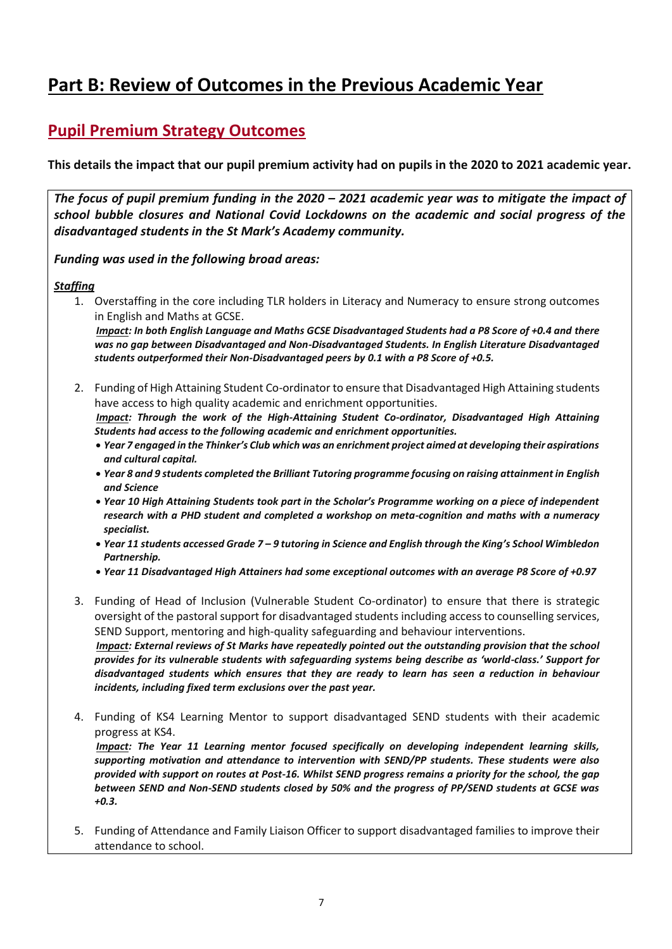# **Part B: Review of Outcomes in the Previous Academic Year**

## **Pupil Premium Strategy Outcomes**

**This details the impact that our pupil premium activity had on pupils in the 2020 to 2021 academic year.** 

*The focus of pupil premium funding in the 2020 – 2021 academic year was to mitigate the impact of school bubble closures and National Covid Lockdowns on the academic and social progress of the disadvantaged students in the St Mark's Academy community.* 

*Funding was used in the following broad areas:*

#### *Staffing*

1. Overstaffing in the core including TLR holders in Literacy and Numeracy to ensure strong outcomes in English and Maths at GCSE.

*Impact: In both English Language and Maths GCSE Disadvantaged Students had a P8 Score of +0.4 and there was no gap between Disadvantaged and Non-Disadvantaged Students. In English Literature Disadvantaged students outperformed their Non-Disadvantaged peers by 0.1 with a P8 Score of +0.5.*

- 2. Funding of High Attaining Student Co-ordinator to ensure that Disadvantaged High Attaining students have access to high quality academic and enrichment opportunities. *Impact: Through the work of the High-Attaining Student Co-ordinator, Disadvantaged High Attaining Students had access to the following academic and enrichment opportunities.* 
	- *Year 7 engaged in the Thinker's Club which was an enrichment project aimed at developing their aspirations and cultural capital.*
	- *Year 8 and 9 students completed the Brilliant Tutoring programme focusing on raising attainment in English and Science*
	- *Year 10 High Attaining Students took part in the Scholar's Programme working on a piece of independent research with a PHD student and completed a workshop on meta-cognition and maths with a numeracy specialist.*
	- *Year 11 students accessed Grade 7 – 9 tutoring in Science and English through the King's School Wimbledon Partnership.*
	- *Year 11 Disadvantaged High Attainers had some exceptional outcomes with an average P8 Score of +0.97*
- 3. Funding of Head of Inclusion (Vulnerable Student Co-ordinator) to ensure that there is strategic oversight of the pastoral support for disadvantaged students including access to counselling services, SEND Support, mentoring and high-quality safeguarding and behaviour interventions. *Impact: External reviews of St Marks have repeatedly pointed out the outstanding provision that the school provides for its vulnerable students with safeguarding systems being describe as 'world-class.' Support for disadvantaged students which ensures that they are ready to learn has seen a reduction in behaviour*
- 4. Funding of KS4 Learning Mentor to support disadvantaged SEND students with their academic progress at KS4.

*incidents, including fixed term exclusions over the past year.* 

*Impact: The Year 11 Learning mentor focused specifically on developing independent learning skills, supporting motivation and attendance to intervention with SEND/PP students. These students were also provided with support on routes at Post-16. Whilst SEND progress remains a priority for the school, the gap between SEND and Non-SEND students closed by 50% and the progress of PP/SEND students at GCSE was +0.3.*

5. Funding of Attendance and Family Liaison Officer to support disadvantaged families to improve their attendance to school.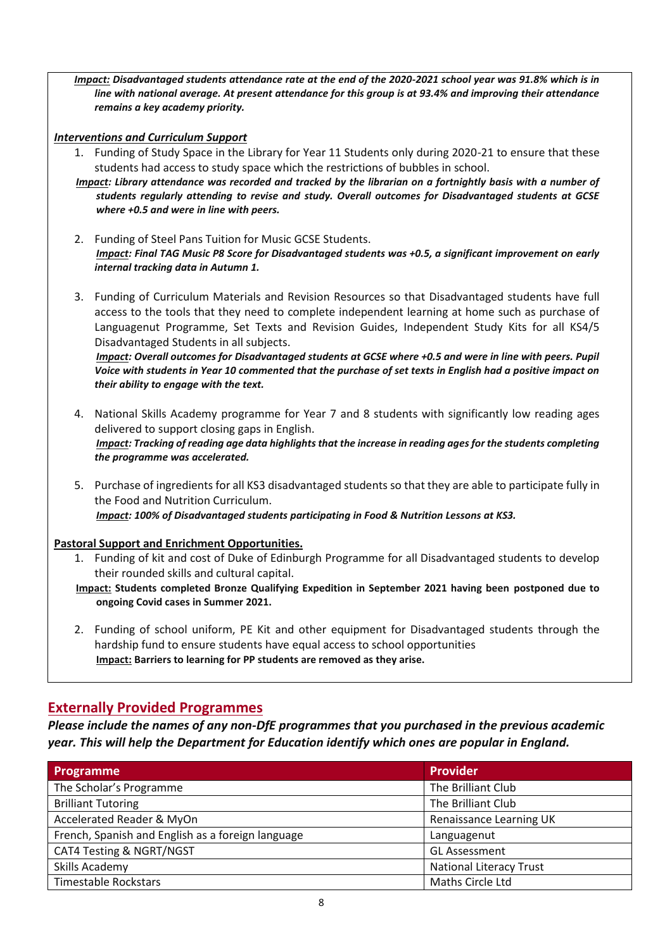*Impact: Disadvantaged students attendance rate at the end of the 2020-2021 school year was 91.8% which is in line with national average. At present attendance for this group is at 93.4% and improving their attendance remains a key academy priority.* 

#### *Interventions and Curriculum Support*

- 1. Funding of Study Space in the Library for Year 11 Students only during 2020-21 to ensure that these students had access to study space which the restrictions of bubbles in school.
- *Impact: Library attendance was recorded and tracked by the librarian on a fortnightly basis with a number of students regularly attending to revise and study. Overall outcomes for Disadvantaged students at GCSE where +0.5 and were in line with peers.*
- 2. Funding of Steel Pans Tuition for Music GCSE Students. *Impact: Final TAG Music P8 Score for Disadvantaged students was +0.5, a significant improvement on early internal tracking data in Autumn 1.*
- 3. Funding of Curriculum Materials and Revision Resources so that Disadvantaged students have full access to the tools that they need to complete independent learning at home such as purchase of Languagenut Programme, Set Texts and Revision Guides, Independent Study Kits for all KS4/5 Disadvantaged Students in all subjects.

*Impact: Overall outcomes for Disadvantaged students at GCSE where +0.5 and were in line with peers. Pupil Voice with students in Year 10 commented that the purchase of set texts in English had a positive impact on their ability to engage with the text.* 

- 4. National Skills Academy programme for Year 7 and 8 students with significantly low reading ages delivered to support closing gaps in English. *Impact: Tracking of reading age data highlights that the increase in reading ages for the students completing the programme was accelerated.*
- 5. Purchase of ingredients for all KS3 disadvantaged students so that they are able to participate fully in the Food and Nutrition Curriculum. *Impact: 100% of Disadvantaged students participating in Food & Nutrition Lessons at KS3.*

#### **Pastoral Support and Enrichment Opportunities.**

- 1. Funding of kit and cost of Duke of Edinburgh Programme for all Disadvantaged students to develop their rounded skills and cultural capital.
- **Impact: Students completed Bronze Qualifying Expedition in September 2021 having been postponed due to ongoing Covid cases in Summer 2021.**
- 2. Funding of school uniform, PE Kit and other equipment for Disadvantaged students through the hardship fund to ensure students have equal access to school opportunities **Impact: Barriers to learning for PP students are removed as they arise.**

#### **Externally Provided Programmes**

*Please include the names of any non-DfE programmes that you purchased in the previous academic year. This will help the Department for Education identify which ones are popular in England.*

| Programme                                         | <b>Provider</b>                |
|---------------------------------------------------|--------------------------------|
| The Scholar's Programme                           | The Brilliant Club             |
| <b>Brilliant Tutoring</b>                         | The Brilliant Club             |
| Accelerated Reader & MyOn                         | Renaissance Learning UK        |
| French, Spanish and English as a foreign language | Languagenut                    |
| CAT4 Testing & NGRT/NGST                          | <b>GL Assessment</b>           |
| Skills Academy                                    | <b>National Literacy Trust</b> |
| <b>Timestable Rockstars</b>                       | Maths Circle Ltd               |